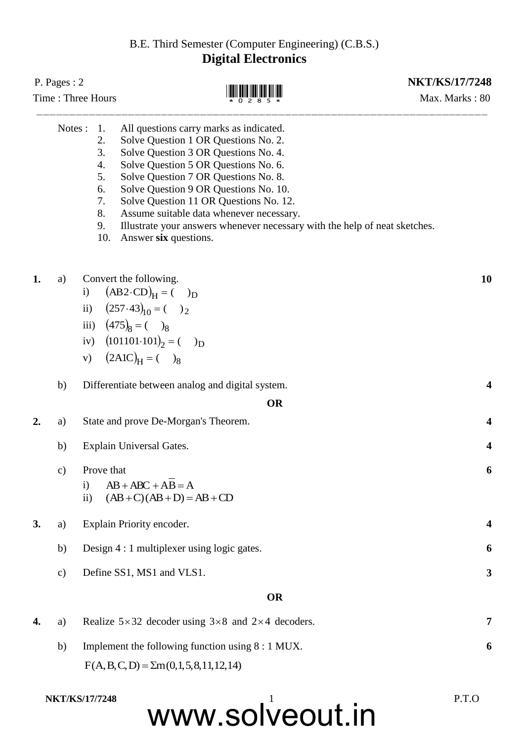## B.E. Third Semester (Computer Engineering) (C.B.S.) **Digital Electronics**

|                                                                      | P. Pages: $2$<br>Time: Three Hours |                                            |                                                                                                                                                                                                                                                                                                                                                                                                                                               | <b>NKT/KS/17/7248</b><br>Max. Marks: 80 |  |
|----------------------------------------------------------------------|------------------------------------|--------------------------------------------|-----------------------------------------------------------------------------------------------------------------------------------------------------------------------------------------------------------------------------------------------------------------------------------------------------------------------------------------------------------------------------------------------------------------------------------------------|-----------------------------------------|--|
| Notes :<br>1.<br>2.<br>3.<br>4.<br>5.<br>6.<br>7.<br>8.<br>9.<br>10. |                                    |                                            | All questions carry marks as indicated.<br>Solve Question 1 OR Questions No. 2.<br>Solve Question 3 OR Questions No. 4.<br>Solve Question 5 OR Questions No. 6.<br>Solve Question 7 OR Questions No. 8.<br>Solve Question 9 OR Questions No. 10.<br>Solve Question 11 OR Questions No. 12.<br>Assume suitable data whenever necessary.<br>Illustrate your answers whenever necessary with the help of neat sketches.<br>Answer six questions. |                                         |  |
| 1.                                                                   | a)                                 | $\mathbf{i}$<br>$\mathbf{ii}$<br>iv)<br>V) | Convert the following.<br>$(AB2\cdot CD)H = ( )D$<br>$(257.43)_{10} = (7.28)$<br>iii) $(475)_8 = (72)$<br>$(101101.101)2 = ( )D$<br>$(2A1C)H = ( )_8$                                                                                                                                                                                                                                                                                         | 10                                      |  |
|                                                                      | b)                                 |                                            | Differentiate between analog and digital system.                                                                                                                                                                                                                                                                                                                                                                                              | 4                                       |  |
|                                                                      |                                    |                                            | <b>OR</b>                                                                                                                                                                                                                                                                                                                                                                                                                                     |                                         |  |
| 2.                                                                   | a)                                 |                                            | State and prove De-Morgan's Theorem.                                                                                                                                                                                                                                                                                                                                                                                                          | $\overline{\mathbf{4}}$                 |  |
|                                                                      | b)                                 |                                            | Explain Universal Gates.                                                                                                                                                                                                                                                                                                                                                                                                                      | 4                                       |  |
|                                                                      | $\mathbf{c})$                      | Prove that<br>$\mathbf{i}$<br>$\rm ii)$    | $AB + ABC + AB = A$<br>$(AB+C)(AB+D)=AB+CD$                                                                                                                                                                                                                                                                                                                                                                                                   | 6                                       |  |
| 3.                                                                   | a)                                 |                                            | Explain Priority encoder.                                                                                                                                                                                                                                                                                                                                                                                                                     | $\boldsymbol{4}$                        |  |
|                                                                      | b)                                 |                                            | Design 4 : 1 multiplexer using logic gates.                                                                                                                                                                                                                                                                                                                                                                                                   | 6                                       |  |
|                                                                      | $\mathbf{c})$                      |                                            | Define SS1, MS1 and VLS1.                                                                                                                                                                                                                                                                                                                                                                                                                     | 3                                       |  |
|                                                                      |                                    |                                            | <b>OR</b>                                                                                                                                                                                                                                                                                                                                                                                                                                     |                                         |  |
| 4.                                                                   | a)                                 |                                            | Realize $5 \times 32$ decoder using $3 \times 8$ and $2 \times 4$ decoders.                                                                                                                                                                                                                                                                                                                                                                   | 7                                       |  |
|                                                                      | b)                                 |                                            | Implement the following function using 8 : 1 MUX.                                                                                                                                                                                                                                                                                                                                                                                             | 6                                       |  |

 $F(A, B, C, D) = \sum m(0, 1, 5, 8, 11, 12, 14)$ 

## www.solveout.in **NKT/KS/17/7248** P.T.O